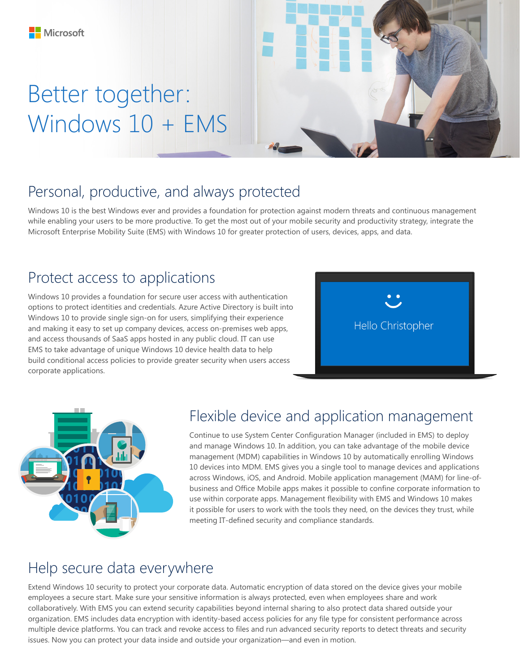# Better together: Windows 10 + EMS



### Personal, productive, and always protected

Windows 10 is the best Windows ever and provides a foundation for protection against modern threats and continuous management while enabling your users to be more productive. To get the most out of your mobile security and productivity strategy, integrate the Microsoft Enterprise Mobility Suite (EMS) with Windows 10 for greater protection of users, devices, apps, and data.

### Protect access to applications

Windows 10 provides a foundation for secure user access with authentication options to protect identities and credentials. Azure Active Directory is built into Windows 10 to provide single sign-on for users, simplifying their experience and making it easy to set up company devices, access on-premises web apps, and access thousands of SaaS apps hosted in any public cloud. IT can use EMS to take advantage of unique Windows 10 device health data to help build conditional access policies to provide greater security when users access corporate applications.





#### Flexible device and application management

Continue to use System Center Configuration Manager (included in EMS) to deploy and manage Windows 10. In addition, you can take advantage of the mobile device management (MDM) capabilities in Windows 10 by automatically enrolling Windows 10 devices into MDM. EMS gives you a single tool to manage devices and applications across Windows, iOS, and Android. Mobile application management (MAM) for line-ofbusiness and Office Mobile apps makes it possible to confine corporate information to use within corporate apps. Management flexibility with EMS and Windows 10 makes it possible for users to work with the tools they need, on the devices they trust, while meeting IT-defined security and compliance standards.

#### Help secure data everywhere

Extend Windows 10 security to protect your corporate data. Automatic encryption of data stored on the device gives your mobile employees a secure start. Make sure your sensitive information is always protected, even when employees share and work collaboratively. With EMS you can extend security capabilities beyond internal sharing to also protect data shared outside your organization. EMS includes data encryption with identity-based access policies for any file type for consistent performance across multiple device platforms. You can track and revoke access to files and run advanced security reports to detect threats and security issues. Now you can protect your data inside and outside your organization—and even in motion.